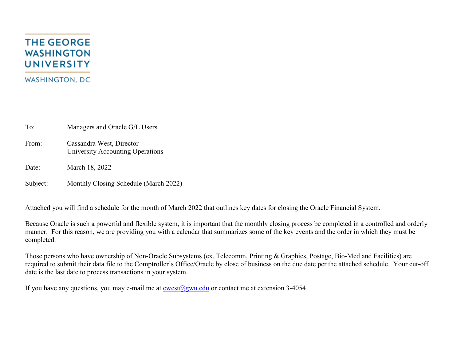## **THE GEORGE WASHINGTON UNIVERSITY WASHINGTON, DC**

To: Managers and Oracle G/L Users

From: Cassandra West, Director University Accounting Operations

Date: March 18, 2022

Subject: Monthly Closing Schedule (March 2022)

Attached you will find a schedule for the month of March 2022 that outlines key dates for closing the Oracle Financial System.

Because Oracle is such a powerful and flexible system, it is important that the monthly closing process be completed in a controlled and orderly manner. For this reason, we are providing you with a calendar that summarizes some of the key events and the order in which they must be completed.

Those persons who have ownership of Non-Oracle Subsystems (ex. Telecomm, Printing & Graphics, Postage, Bio-Med and Facilities) are required to submit their data file to the Comptroller's Office/Oracle by close of business on the due date per the attached schedule. Your cut-off date is the last date to process transactions in your system.

If you have any questions, you may e-mail me at  $\cos(\omega)$ gwu.edu or contact me at extension 3-4054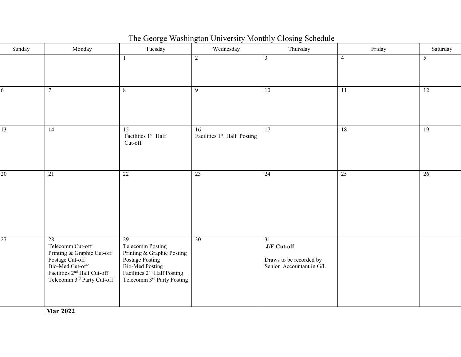| Sunday          | Monday                                                                                                                                                              | Tuesday                                                                                                                                                                       | Wednesday                                     | Thursday                                                                              | Friday          | Saturday        |
|-----------------|---------------------------------------------------------------------------------------------------------------------------------------------------------------------|-------------------------------------------------------------------------------------------------------------------------------------------------------------------------------|-----------------------------------------------|---------------------------------------------------------------------------------------|-----------------|-----------------|
|                 |                                                                                                                                                                     | 1                                                                                                                                                                             | 2                                             | $\mathfrak{Z}$                                                                        | $\overline{4}$  | 5               |
| 6               | $7\overline{ }$                                                                                                                                                     | 8                                                                                                                                                                             | $\overline{9}$                                | 10                                                                                    | $\overline{11}$ | 12              |
| $\overline{13}$ | 14                                                                                                                                                                  | 15<br>Facilities 1st Half<br>Cut-off                                                                                                                                          | 16<br>Facilities 1 <sup>st</sup> Half Posting | $\overline{17}$                                                                       | $\overline{18}$ | 19              |
| 20              | $\overline{21}$                                                                                                                                                     | 22                                                                                                                                                                            | 23                                            | $\overline{24}$                                                                       | 25              | $\overline{26}$ |
| 27              | 28<br>Telecomm Cut-off<br>Printing & Graphic Cut-off<br>Postage Cut-off<br>Bio-Med Cut-off<br>Facilities 2 <sup>nd</sup> Half Cut-off<br>Telecomm 3rd Party Cut-off | $\overline{29}$<br><b>Telecomm Posting</b><br>Printing & Graphic Posting<br>Postage Posting<br>Bio-Med Posting<br>Facilities $2nd$ Half Posting<br>Telecomm 3rd Party Posting | $\overline{30}$                               | $\overline{31}$<br>J/E Cut-off<br>Draws to be recorded by<br>Senior Accountant in G/L |                 |                 |

The George Washington University Monthly Closing Schedule

**Mar 2022**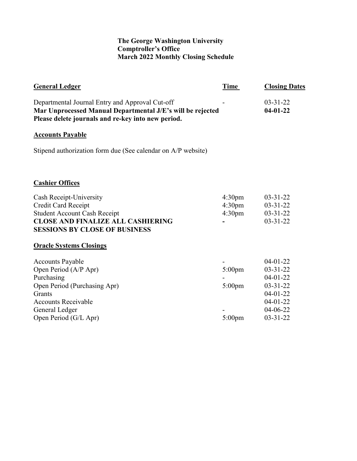## **The George Washington University Comptroller's Office March 2022 Monthly Closing Schedule**

|                                                                | <b>Closing Dates</b>                                                                                                             |
|----------------------------------------------------------------|----------------------------------------------------------------------------------------------------------------------------------|
|                                                                | $03 - 31 - 22$<br>$04 - 01 - 22$                                                                                                 |
|                                                                |                                                                                                                                  |
|                                                                |                                                                                                                                  |
|                                                                |                                                                                                                                  |
| 4:30 <sub>pm</sub><br>4:30 <sub>pm</sub><br>4:30 <sub>pm</sub> | $03 - 31 - 22$<br>$03 - 31 - 22$<br>$03 - 31 - 22$<br>$03 - 31 - 22$                                                             |
|                                                                |                                                                                                                                  |
| $5:00$ pm<br>$5:00$ pm<br>$5:00 \text{pm}$                     | $04-01-22$<br>$03 - 31 - 22$<br>$04-01-22$<br>$03 - 31 - 22$<br>$04-01-22$<br>$04 - 01 - 22$<br>$04 - 06 - 22$<br>$03 - 31 - 22$ |
|                                                                | Mar Unprocessed Manual Departmental J/E's will be rejected<br>Stipend authorization form due (See calendar on A/P website)       |